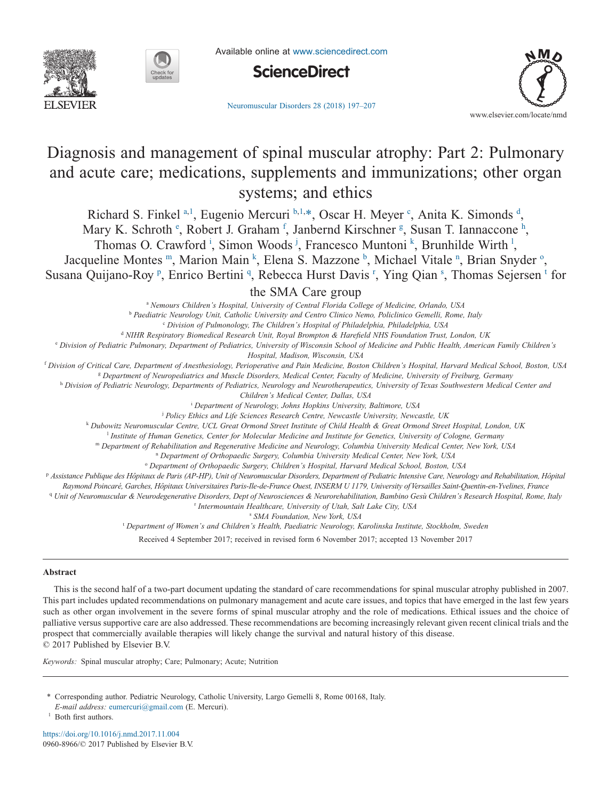



Available online at [www.sciencedirect.com](http://www.sciencedirect.com/science/journal/09608966)



**ScienceDirect**



[Neuromuscular Disorders 28 \(2018\) 197–207](https://doi.org/10.1016/j.nmd.2017.11.004)

# Diagnosis and management of spinal muscular atrophy: Part 2: Pulmonary and acute care; medications, supplements and immunizations; other organ systems; and ethics

Richard S. Finkel <sup>[a,](#page-0-0)[1](#page-0-1)</sup>, Eugenio Mercuri <sup>[b,](#page-0-2)[1,](#page-0-1)\*</sup>, Os[c](#page-0-4)ar H. Meyer <sup>c</sup>, Anita K. Simon[d](#page-0-5)s <sup>d</sup>,

Mary K. Schroth<sup>[e](#page-0-6)</sup>, Robert J. Graham<sup>[f](#page-0-7)</sup>, Janbernd Kirschner<sup>[g](#page-0-8)</sup>, Susan T. Iannaccone<sup>[h](#page-0-9)</sup>,

Thomas O. Crawford<sup>1</sup>, S[i](#page-0-10)mon Woods<sup>1</sup>, Francesco Muntoni<sup>[k](#page-0-12)</sup>, Brunhi[l](#page-0-13)de Wirth<sup>1</sup>,

Jacqueline Montes <sup>m</sup>, Marion Main <sup>[k](#page-0-12)</sup>, Elena S. Mazzone <sup>[b](#page-0-2)</sup>, Michael Vitale <sup>[n](#page-0-15)</sup>, Brian Snyder °,

Susana Quijano-Roy<su[p](#page-0-17)>p</sup>, Enrico Bertini<sup>[q](#page-0-18)</sup>, Rebecca Hu[r](#page-0-19)[s](#page-0-20)[t](#page-0-21) Davis<sup>r</sup>, Ying Qian<sup>s</sup>, Thomas Sejersen<sup>t</sup> for

the SMA Care group

<span id="page-0-0"></span><sup>a</sup> *Nemours Children's Hospital, University of Central Florida College of Medicine, Orlando, USA*

<span id="page-0-2"></span><sup>b</sup> *Paediatric Neurology Unit, Catholic University and Centro Clinico Nemo, Policlinico Gemelli, Rome, Italy*

<span id="page-0-4"></span><sup>c</sup> *Division of Pulmonology, The Children's Hospital of Philadelphia, Philadelphia, USA*

<span id="page-0-5"></span><sup>d</sup> *NIHR Respiratory Biomedical Research Unit, Royal Brompton & Harefield NHS Foundation Trust, London, UK*

<span id="page-0-6"></span><sup>e</sup> *Division of Pediatric Pulmonary, Department of Pediatrics, University of Wisconsin School of Medicine and Public Health, American Family Children's*

*Hospital, Madison, Wisconsin, USA*

<span id="page-0-7"></span><sup>f</sup> *Division of Critical Care, Department of Anesthesiology, Perioperative and Pain Medicine, Boston Children's Hospital, Harvard Medical School, Boston, USA*

<span id="page-0-8"></span><sup>g</sup> *Department of Neuropediatrics and Muscle Disorders, Medical Center, Faculty of Medicine, University of Freiburg, Germany*

<span id="page-0-9"></span><sup>h</sup> *Division of Pediatric Neurology, Departments of Pediatrics, Neurology and Neurotherapeutics, University of Texas Southwestern Medical Center and*

*Children's Medical Center, Dallas, USA*

<span id="page-0-10"></span><sup>i</sup> *Department of Neurology, Johns Hopkins University, Baltimore, USA*

<span id="page-0-11"></span><sup>j</sup> *Policy Ethics and Life Sciences Research Centre, Newcastle University, Newcastle, UK*

<span id="page-0-12"></span><sup>k</sup> *Dubowitz Neuromuscular Centre, UCL Great Ormond Street Institute of Child Health & Great Ormond Street Hospital, London, UK*

<span id="page-0-13"></span><sup>l</sup> *Institute of Human Genetics, Center for Molecular Medicine and Institute for Genetics, University of Cologne, Germany*

<span id="page-0-14"></span><sup>m</sup> *Department of Rehabilitation and Regenerative Medicine and Neurology, Columbia University Medical Center, New York, USA*

<span id="page-0-15"></span><sup>n</sup> *Department of Orthopaedic Surgery, Columbia University Medical Center, New York, USA*

<span id="page-0-16"></span><sup>o</sup> *Department of Orthopaedic Surgery, Children's Hospital, Harvard Medical School, Boston, USA*

<span id="page-0-17"></span><sup>p</sup> *Assistance Publique des Hôpitaux de Paris (AP-HP), Unit of Neuromuscular Disorders, Department of Pediatric Intensive Care, Neurology and Rehabilitation, Hôpital*

*Raymond Poincaré, Garches, Hôpitaux Universitaires Paris-Ile-de-France Ouest, INSERM U 1179, University of Versailles Saint-Quentin-en-Yvelines, France*

<span id="page-0-18"></span><sup>q</sup> *Unit of Neuromuscular & Neurodegenerative Disorders, Dept of Neurosciences & Neurorehabilitation, Bambino Gesù Children's Research Hospital, Rome, Italy*

<span id="page-0-20"></span><span id="page-0-19"></span><sup>r</sup> *Intermountain Healthcare, University of Utah, Salt Lake City, USA* <sup>s</sup> *SMA Foundation, New York, USA*

<span id="page-0-21"></span><sup>t</sup> *Department of Women's and Children's Health, Paediatric Neurology, Karolinska Institute, Stockholm, Sweden*

Received 4 September 2017; received in revised form 6 November 2017; accepted 13 November 2017

# **Abstract**

This is the second half of a two-part document updating the standard of care recommendations for spinal muscular atrophy published in 2007. This part includes updated recommendations on pulmonary management and acute care issues, and topics that have emerged in the last few years such as other organ involvement in the severe forms of spinal muscular atrophy and the role of medications. Ethical issues and the choice of palliative versus supportive care are also addressed. These recommendations are becoming increasingly relevant given recent clinical trials and the prospect that commercially available therapies will likely change the survival and natural history of this disease. © 2017 Published by Elsevier B.V.

*Keywords:* Spinal muscular atrophy; Care; Pulmonary; Acute; Nutrition

<span id="page-0-3"></span>\* Corresponding author. Pediatric Neurology, Catholic University, Largo Gemelli 8, Rome 00168, Italy.

<span id="page-0-1"></span>*E-mail address:* [eumercuri@gmail.com](mailto:eumercuri@gmail.com) (E. Mercuri).

<sup>1</sup> Both first authors.

https://doi.org/10.1016/j.nmd.2017.11.004 0960-8966/© 2017 Published by Elsevier B.V.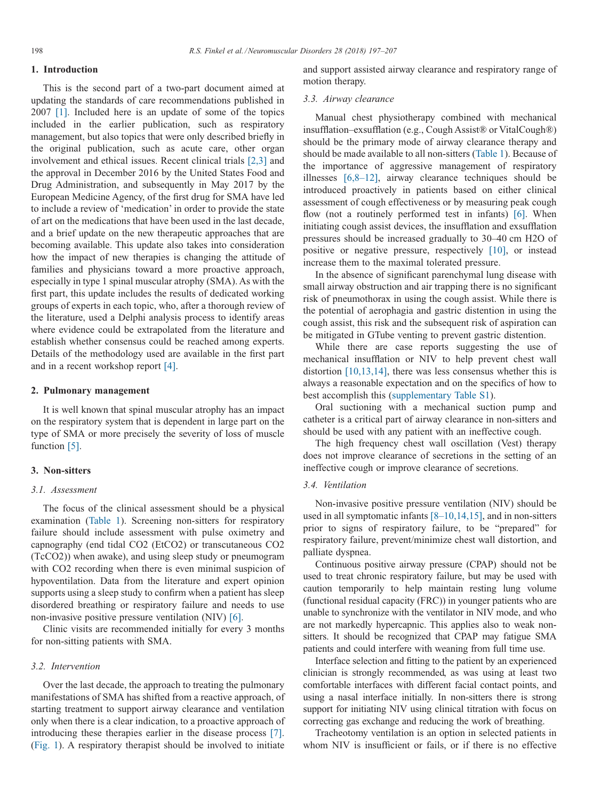## **1. Introduction**

This is the second part of a two-part document aimed at updating the standards of care recommendations published in 2007 [\[1\].](#page-8-0) Included here is an update of some of the topics included in the earlier publication, such as respiratory management, but also topics that were only described briefly in the original publication, such as acute care, other organ involvement and ethical issues. Recent clinical trials [\[2,3\]](#page-8-1) and the approval in December 2016 by the United States Food and Drug Administration, and subsequently in May 2017 by the European Medicine Agency, of the first drug for SMA have led to include a review of 'medication' in order to provide the state of art on the medications that have been used in the last decade, and a brief update on the new therapeutic approaches that are becoming available. This update also takes into consideration how the impact of new therapies is changing the attitude of families and physicians toward a more proactive approach, especially in type 1 spinal muscular atrophy (SMA). As with the first part, this update includes the results of dedicated working groups of experts in each topic, who, after a thorough review of the literature, used a Delphi analysis process to identify areas where evidence could be extrapolated from the literature and establish whether consensus could be reached among experts. Details of the methodology used are available in the first part and in a recent workshop report [\[4\].](#page-8-2)

## **2. Pulmonary management**

It is well known that spinal muscular atrophy has an impact on the respiratory system that is dependent in large part on the type of SMA or more precisely the severity of loss of muscle function [\[5\].](#page-8-3)

# **3. Non-sitters**

#### *3.1. Assessment*

The focus of the clinical assessment should be a physical examination [\(Table 1\)](#page-2-0). Screening non-sitters for respiratory failure should include assessment with pulse oximetry and capnography (end tidal CO2 (EtCO2) or transcutaneous CO2 (TcCO2)) when awake), and using sleep study or pneumogram with CO2 recording when there is even minimal suspicion of hypoventilation. Data from the literature and expert opinion supports using a sleep study to confirm when a patient has sleep disordered breathing or respiratory failure and needs to use non-invasive positive pressure ventilation (NIV) [\[6\].](#page-8-4)

Clinic visits are recommended initially for every 3 months for non-sitting patients with SMA.

# *3.2. Intervention*

Over the last decade, the approach to treating the pulmonary manifestations of SMA has shifted from a reactive approach, of starting treatment to support airway clearance and ventilation only when there is a clear indication, to a proactive approach of introducing these therapies earlier in the disease process [\[7\].](#page-8-5) [\(Fig. 1\)](#page-3-0). A respiratory therapist should be involved to initiate and support assisted airway clearance and respiratory range of motion therapy.

#### *3.3. Airway clearance*

Manual chest physiotherapy combined with mechanical insufflation–exsufflation (e.g., Cough Assist® or VitalCough®) should be the primary mode of airway clearance therapy and should be made available to all non-sitters [\(Table 1\)](#page-2-0). Because of the importance of aggressive management of respiratory illnesses [\[6,8–12\],](#page-8-4) airway clearance techniques should be introduced proactively in patients based on either clinical assessment of cough effectiveness or by measuring peak cough flow (not a routinely performed test in infants) [\[6\].](#page-8-4) When initiating cough assist devices, the insufflation and exsufflation pressures should be increased gradually to 30–40 cm H2O of positive or negative pressure, respectively [\[10\],](#page-9-0) or instead increase them to the maximal tolerated pressure.

In the absence of significant parenchymal lung disease with small airway obstruction and air trapping there is no significant risk of pneumothorax in using the cough assist. While there is the potential of aerophagia and gastric distention in using the cough assist, this risk and the subsequent risk of aspiration can be mitigated in GTube venting to prevent gastric distention.

While there are case reports suggesting the use of mechanical insufflation or NIV to help prevent chest wall distortion [\[10,13,14\],](#page-9-0) there was less consensus whether this is always a reasonable expectation and on the specifics of how to best accomplish this (supplementary Table S1).

Oral suctioning with a mechanical suction pump and catheter is a critical part of airway clearance in non-sitters and should be used with any patient with an ineffective cough.

The high frequency chest wall oscillation (Vest) therapy does not improve clearance of secretions in the setting of an ineffective cough or improve clearance of secretions.

#### *3.4. Ventilation*

Non-invasive positive pressure ventilation (NIV) should be used in all symptomatic infants [\[8–10,14,15\],](#page-8-6) and in non-sitters prior to signs of respiratory failure, to be "prepared" for respiratory failure, prevent/minimize chest wall distortion, and palliate dyspnea.

Continuous positive airway pressure (CPAP) should not be used to treat chronic respiratory failure, but may be used with caution temporarily to help maintain resting lung volume (functional residual capacity (FRC)) in younger patients who are unable to synchronize with the ventilator in NIV mode, and who are not markedly hypercapnic. This applies also to weak nonsitters. It should be recognized that CPAP may fatigue SMA patients and could interfere with weaning from full time use.

Interface selection and fitting to the patient by an experienced clinician is strongly recommended, as was using at least two comfortable interfaces with different facial contact points, and using a nasal interface initially. In non-sitters there is strong support for initiating NIV using clinical titration with focus on correcting gas exchange and reducing the work of breathing.

Tracheotomy ventilation is an option in selected patients in whom NIV is insufficient or fails, or if there is no effective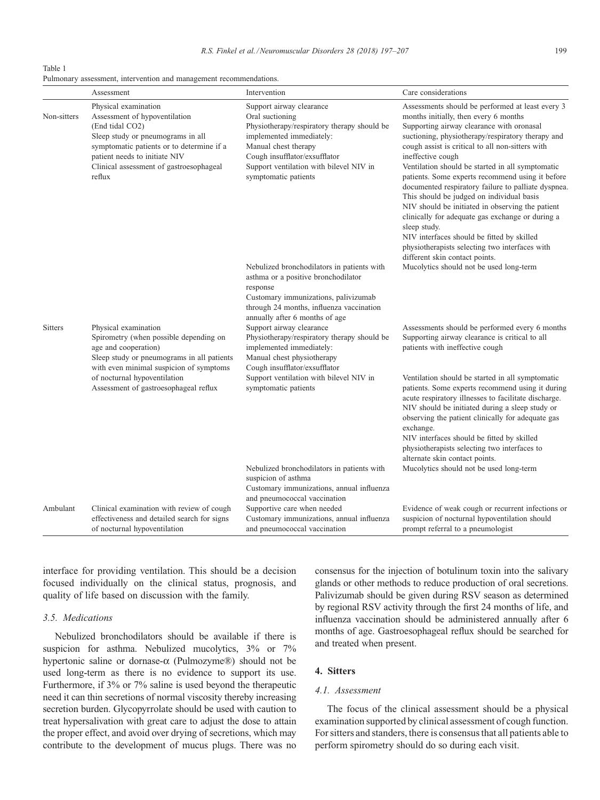<span id="page-2-0"></span>Table 1

Pulmonary assessment, intervention and management recommendations.

|                            | Assessment                                                                                                                                                                                                                                       | Intervention                                                                                                                                                                                                                                                                                                                                                                              | Care considerations                                                                                                                                                                                                                                                                                                                                                                                                                                                                                                                                                                                                                                                                                                                        |
|----------------------------|--------------------------------------------------------------------------------------------------------------------------------------------------------------------------------------------------------------------------------------------------|-------------------------------------------------------------------------------------------------------------------------------------------------------------------------------------------------------------------------------------------------------------------------------------------------------------------------------------------------------------------------------------------|--------------------------------------------------------------------------------------------------------------------------------------------------------------------------------------------------------------------------------------------------------------------------------------------------------------------------------------------------------------------------------------------------------------------------------------------------------------------------------------------------------------------------------------------------------------------------------------------------------------------------------------------------------------------------------------------------------------------------------------------|
| Non-sitters                | Physical examination<br>Assessment of hypoventilation<br>(End tidal CO2)<br>Sleep study or pneumograms in all<br>symptomatic patients or to determine if a<br>patient needs to initiate NIV<br>Clinical assessment of gastroesophageal<br>reflux | Support airway clearance<br>Oral suctioning<br>Physiotherapy/respiratory therapy should be<br>implemented immediately:<br>Manual chest therapy<br>Cough insufflator/exsufflator<br>Support ventilation with bilevel NIV in<br>symptomatic patients                                                                                                                                        | Assessments should be performed at least every 3<br>months initially, then every 6 months<br>Supporting airway clearance with oronasal<br>suctioning, physiotherapy/respiratory therapy and<br>cough assist is critical to all non-sitters with<br>ineffective cough<br>Ventilation should be started in all symptomatic<br>patients. Some experts recommend using it before<br>documented respiratory failure to palliate dyspnea.<br>This should be judged on individual basis<br>NIV should be initiated in observing the patient<br>clinically for adequate gas exchange or during a<br>sleep study.<br>NIV interfaces should be fitted by skilled<br>physiotherapists selecting two interfaces with<br>different skin contact points. |
| <b>Sitters</b><br>Ambulant | Physical examination<br>Spirometry (when possible depending on<br>age and cooperation)<br>Sleep study or pneumograms in all patients<br>with even minimal suspicion of symptoms                                                                  | Nebulized bronchodilators in patients with<br>asthma or a positive bronchodilator<br>response<br>Customary immunizations, palivizumab<br>through 24 months, influenza vaccination<br>annually after 6 months of age<br>Support airway clearance<br>Physiotherapy/respiratory therapy should be<br>implemented immediately:<br>Manual chest physiotherapy<br>Cough insufflator/exsufflator | Mucolytics should not be used long-term<br>Assessments should be performed every 6 months<br>Supporting airway clearance is critical to all<br>patients with ineffective cough                                                                                                                                                                                                                                                                                                                                                                                                                                                                                                                                                             |
|                            | of nocturnal hypoventilation<br>Assessment of gastroesophageal reflux<br>Clinical examination with review of cough                                                                                                                               | Support ventilation with bilevel NIV in<br>symptomatic patients                                                                                                                                                                                                                                                                                                                           | Ventilation should be started in all symptomatic<br>patients. Some experts recommend using it during<br>acute respiratory illnesses to facilitate discharge.<br>NIV should be initiated during a sleep study or<br>observing the patient clinically for adequate gas<br>exchange.<br>NIV interfaces should be fitted by skilled<br>physiotherapists selecting two interfaces to<br>alternate skin contact points.                                                                                                                                                                                                                                                                                                                          |
|                            |                                                                                                                                                                                                                                                  | Nebulized bronchodilators in patients with<br>suspicion of asthma<br>Customary immunizations, annual influenza<br>and pneumococcal vaccination<br>Supportive care when needed                                                                                                                                                                                                             | Mucolytics should not be used long-term<br>Evidence of weak cough or recurrent infections or                                                                                                                                                                                                                                                                                                                                                                                                                                                                                                                                                                                                                                               |
|                            | effectiveness and detailed search for signs<br>of nocturnal hypoventilation                                                                                                                                                                      | Customary immunizations, annual influenza<br>and pneumococcal vaccination                                                                                                                                                                                                                                                                                                                 | suspicion of nocturnal hypoventilation should<br>prompt referral to a pneumologist                                                                                                                                                                                                                                                                                                                                                                                                                                                                                                                                                                                                                                                         |

interface for providing ventilation. This should be a decision focused individually on the clinical status, prognosis, and quality of life based on discussion with the family.

### *3.5. Medications*

Nebulized bronchodilators should be available if there is suspicion for asthma. Nebulized mucolytics,  $3\%$  or  $7\%$ hypertonic saline or dornase-α (Pulmozyme®) should not be used long-term as there is no evidence to support its use. Furthermore, if 3% or 7% saline is used beyond the therapeutic need it can thin secretions of normal viscosity thereby increasing secretion burden. Glycopyrrolate should be used with caution to treat hypersalivation with great care to adjust the dose to attain the proper effect, and avoid over drying of secretions, which may contribute to the development of mucus plugs. There was no consensus for the injection of botulinum toxin into the salivary glands or other methods to reduce production of oral secretions. Palivizumab should be given during RSV season as determined by regional RSV activity through the first 24 months of life, and influenza vaccination should be administered annually after 6 months of age. Gastroesophageal reflux should be searched for and treated when present.

# **4. Sitters**

#### *4.1. Assessment*

The focus of the clinical assessment should be a physical examination supported by clinical assessment of cough function. For sitters and standers, there is consensus that all patients able to perform spirometry should do so during each visit.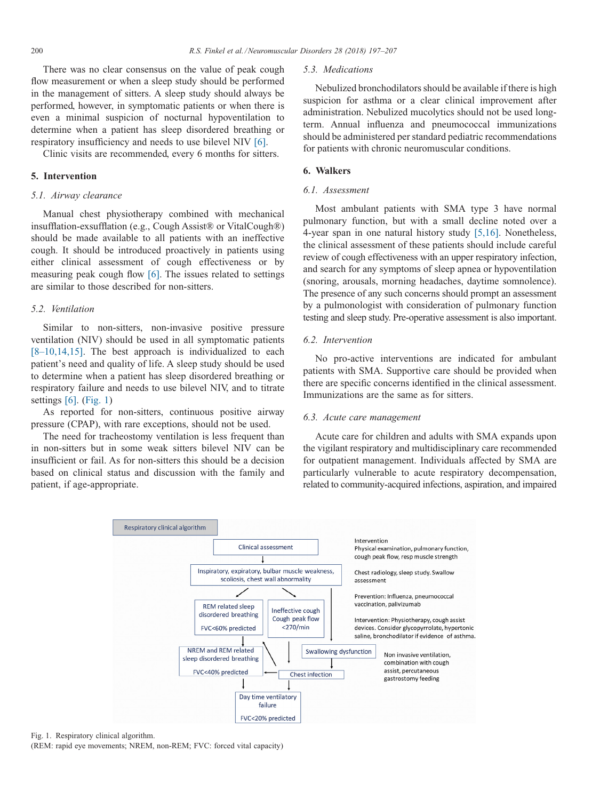<span id="page-3-0"></span>There was no clear consensus on the value of peak cough flow measurement or when a sleep study should be performed in the management of sitters. A sleep study should always be performed, however, in symptomatic patients or when there is even a minimal suspicion of nocturnal hypoventilation to determine when a patient has sleep disordered breathing or respiratory insufficiency and needs to use bilevel NIV [\[6\].](#page-8-4)

Clinic visits are recommended, every 6 months for sitters.

## **5. Intervention**

## *5.1. Airway clearance*

Manual chest physiotherapy combined with mechanical insufflation-exsufflation (e.g., Cough Assist® or VitalCough®) should be made available to all patients with an ineffective cough. It should be introduced proactively in patients using either clinical assessment of cough effectiveness or by measuring peak cough flow [\[6\].](#page-8-4) The issues related to settings are similar to those described for non-sitters.

#### *5.2. Ventilation*

Similar to non-sitters, non-invasive positive pressure ventilation (NIV) should be used in all symptomatic patients [\[8–10,14,15\].](#page-8-6) The best approach is individualized to each patient's need and quality of life. A sleep study should be used to determine when a patient has sleep disordered breathing or respiratory failure and needs to use bilevel NIV, and to titrate settings  $[6]$ . (Fig. 1)

As reported for non-sitters, continuous positive airway pressure (CPAP), with rare exceptions, should not be used.

The need for tracheostomy ventilation is less frequent than in non-sitters but in some weak sitters bilevel NIV can be insufficient or fail. As for non-sitters this should be a decision based on clinical status and discussion with the family and patient, if age-appropriate.

#### *5.3. Medications*

Nebulized bronchodilators should be available if there is high suspicion for asthma or a clear clinical improvement after administration. Nebulized mucolytics should not be used longterm. Annual influenza and pneumococcal immunizations should be administered per standard pediatric recommendations for patients with chronic neuromuscular conditions.

#### **6. Walkers**

#### *6.1. Assessment*

Most ambulant patients with SMA type 3 have normal pulmonary function, but with a small decline noted over a 4-year span in one natural history study [\[5,16\].](#page-8-3) Nonetheless, the clinical assessment of these patients should include careful review of cough effectiveness with an upper respiratory infection, and search for any symptoms of sleep apnea or hypoventilation (snoring, arousals, morning headaches, daytime somnolence). The presence of any such concerns should prompt an assessment by a pulmonologist with consideration of pulmonary function testing and sleep study. Pre-operative assessment is also important.

# *6.2. Intervention*

No pro-active interventions are indicated for ambulant patients with SMA. Supportive care should be provided when there are specific concerns identified in the clinical assessment. Immunizations are the same as for sitters.

#### *6.3. Acute care management*

Acute care for children and adults with SMA expands upon the vigilant respiratory and multidisciplinary care recommended for outpatient management. Individuals affected by SMA are particularly vulnerable to acute respiratory decompensation, related to community-acquired infections, aspiration, and impaired



Fig. 1. Respiratory clinical algorithm.

(REM: rapid eye movements; NREM, non-REM; FVC: forced vital capacity)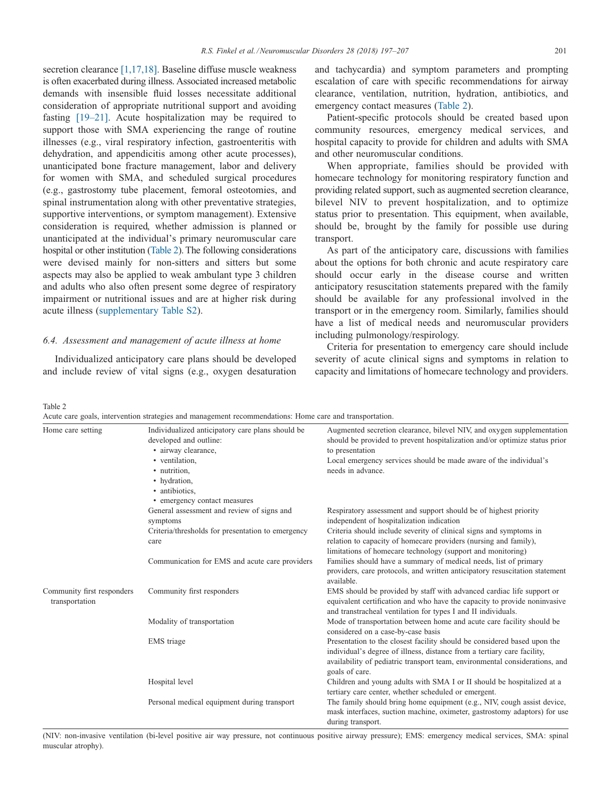secretion clearance [\[1,17,18\].](#page-8-0) Baseline diffuse muscle weakness is often exacerbated during illness. Associated increased metabolic demands with insensible fluid losses necessitate additional consideration of appropriate nutritional support and avoiding fasting [\[19–21\].](#page-9-1) Acute hospitalization may be required to support those with SMA experiencing the range of routine illnesses (e.g., viral respiratory infection, gastroenteritis with dehydration, and appendicitis among other acute processes), unanticipated bone fracture management, labor and delivery for women with SMA, and scheduled surgical procedures (e.g., gastrostomy tube placement, femoral osteotomies, and spinal instrumentation along with other preventative strategies, supportive interventions, or symptom management). Extensive consideration is required, whether admission is planned or unanticipated at the individual's primary neuromuscular care hospital or other institution (Table 2). The following considerations were devised mainly for non-sitters and sitters but some aspects may also be applied to weak ambulant type 3 children and adults who also often present some degree of respiratory impairment or nutritional issues and are at higher risk during acute illness (supplementary Table S2).

## *6.4. Assessment and management of acute illness at home*

Individualized anticipatory care plans should be developed and include review of vital signs (e.g., oxygen desaturation

and tachycardia) and symptom parameters and prompting escalation of care with specific recommendations for airway clearance, ventilation, nutrition, hydration, antibiotics, and emergency contact measures (Table 2).

Patient-specific protocols should be created based upon community resources, emergency medical services, and hospital capacity to provide for children and adults with SMA and other neuromuscular conditions.

When appropriate, families should be provided with homecare technology for monitoring respiratory function and providing related support, such as augmented secretion clearance, bilevel NIV to prevent hospitalization, and to optimize status prior to presentation. This equipment, when available, should be, brought by the family for possible use during transport.

As part of the anticipatory care, discussions with families about the options for both chronic and acute respiratory care should occur early in the disease course and written anticipatory resuscitation statements prepared with the family should be available for any professional involved in the transport or in the emergency room. Similarly, families should have a list of medical needs and neuromuscular providers including pulmonology/respirology.

Criteria for presentation to emergency care should include severity of acute clinical signs and symptoms in relation to capacity and limitations of homecare technology and providers.

Table 2

Acute care goals, intervention strategies and management recommendations: Home care and transportation.

| Home care setting                            | Individualized anticipatory care plans should be<br>developed and outline: | Augmented secretion clearance, bilevel NIV, and oxygen supplementation<br>should be provided to prevent hospitalization and/or optimize status prior                                                                                                 |
|----------------------------------------------|----------------------------------------------------------------------------|------------------------------------------------------------------------------------------------------------------------------------------------------------------------------------------------------------------------------------------------------|
|                                              | · airway clearance,                                                        | to presentation                                                                                                                                                                                                                                      |
|                                              | • ventilation,                                                             | Local emergency services should be made aware of the individual's                                                                                                                                                                                    |
|                                              | • nutrition,                                                               | needs in advance.                                                                                                                                                                                                                                    |
|                                              | • hydration,                                                               |                                                                                                                                                                                                                                                      |
|                                              | • antibiotics.                                                             |                                                                                                                                                                                                                                                      |
|                                              | • emergency contact measures                                               |                                                                                                                                                                                                                                                      |
|                                              | General assessment and review of signs and<br>symptoms                     | Respiratory assessment and support should be of highest priority<br>independent of hospitalization indication                                                                                                                                        |
|                                              | Criteria/thresholds for presentation to emergency                          | Criteria should include severity of clinical signs and symptoms in                                                                                                                                                                                   |
|                                              | care                                                                       | relation to capacity of homecare providers (nursing and family),<br>limitations of homecare technology (support and monitoring)                                                                                                                      |
|                                              | Communication for EMS and acute care providers                             | Families should have a summary of medical needs, list of primary<br>providers, care protocols, and written anticipatory resuscitation statement<br>available.                                                                                        |
| Community first responders<br>transportation | Community first responders                                                 | EMS should be provided by staff with advanced cardiac life support or<br>equivalent certification and who have the capacity to provide noninvasive<br>and transtracheal ventilation for types I and II individuals.                                  |
|                                              | Modality of transportation                                                 | Mode of transportation between home and acute care facility should be<br>considered on a case-by-case basis                                                                                                                                          |
|                                              | EMS triage                                                                 | Presentation to the closest facility should be considered based upon the<br>individual's degree of illness, distance from a tertiary care facility,<br>availability of pediatric transport team, environmental considerations, and<br>goals of care. |
|                                              | Hospital level                                                             | Children and young adults with SMA I or II should be hospitalized at a<br>tertiary care center, whether scheduled or emergent.                                                                                                                       |
|                                              | Personal medical equipment during transport                                | The family should bring home equipment (e.g., NIV, cough assist device,<br>mask interfaces, suction machine, oximeter, gastrostomy adaptors) for use<br>during transport.                                                                            |

(NIV: non-invasive ventilation (bi-level positive air way pressure, not continuous positive airway pressure); EMS: emergency medical services, SMA: spinal muscular atrophy).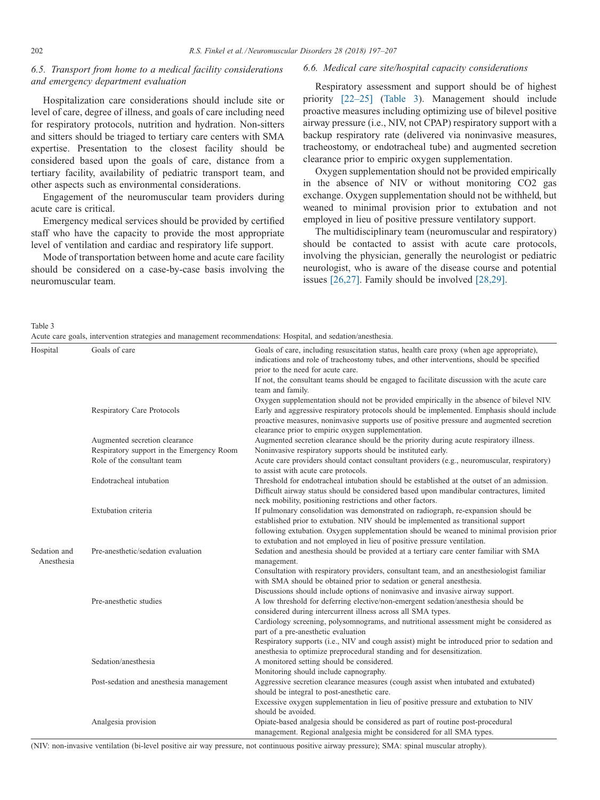# *6.5. Transport from home to a medical facility considerations and emergency department evaluation*

Hospitalization care considerations should include site or level of care, degree of illness, and goals of care including need for respiratory protocols, nutrition and hydration. Non-sitters and sitters should be triaged to tertiary care centers with SMA expertise. Presentation to the closest facility should be considered based upon the goals of care, distance from a tertiary facility, availability of pediatric transport team, and other aspects such as environmental considerations.

Engagement of the neuromuscular team providers during acute care is critical.

Emergency medical services should be provided by certified staff who have the capacity to provide the most appropriate level of ventilation and cardiac and respiratory life support.

Mode of transportation between home and acute care facility should be considered on a case-by-case basis involving the neuromuscular team.

## *6.6. Medical care site/hospital capacity considerations*

Respiratory assessment and support should be of highest priority [\[22–25\]](#page-9-2) (Table 3). Management should include proactive measures including optimizing use of bilevel positive airway pressure (i.e., NIV, not CPAP) respiratory support with a backup respiratory rate (delivered via noninvasive measures, tracheostomy, or endotracheal tube) and augmented secretion clearance prior to empiric oxygen supplementation.

Oxygen supplementation should not be provided empirically in the absence of NIV or without monitoring CO2 gas exchange. Oxygen supplementation should not be withheld, but weaned to minimal provision prior to extubation and not employed in lieu of positive pressure ventilatory support.

The multidisciplinary team (neuromuscular and respiratory) should be contacted to assist with acute care protocols, involving the physician, generally the neurologist or pediatric neurologist, who is aware of the disease course and potential issues [\[26,27\].](#page-9-3) Family should be involved [\[28,29\].](#page-9-4)

Table 3

Acute care goals, intervention strategies and management recommendations: Hospital, and sedation/anesthesia.

| Hospital                   | Goals of care                             | Goals of care, including resuscitation status, health care proxy (when age appropriate),                                                                           |  |
|----------------------------|-------------------------------------------|--------------------------------------------------------------------------------------------------------------------------------------------------------------------|--|
|                            |                                           | indications and role of tracheostomy tubes, and other interventions, should be specified                                                                           |  |
|                            |                                           | prior to the need for acute care.                                                                                                                                  |  |
|                            |                                           | If not, the consultant teams should be engaged to facilitate discussion with the acute care                                                                        |  |
|                            |                                           | team and family.                                                                                                                                                   |  |
|                            |                                           | Oxygen supplementation should not be provided empirically in the absence of bilevel NIV.                                                                           |  |
|                            | <b>Respiratory Care Protocols</b>         | Early and aggressive respiratory protocols should be implemented. Emphasis should include                                                                          |  |
|                            |                                           | proactive measures, noninvasive supports use of positive pressure and augmented secretion                                                                          |  |
|                            |                                           | clearance prior to empiric oxygen supplementation.                                                                                                                 |  |
|                            | Augmented secretion clearance             | Augmented secretion clearance should be the priority during acute respiratory illness.                                                                             |  |
|                            | Respiratory support in the Emergency Room | Noninvasive respiratory supports should be instituted early.                                                                                                       |  |
|                            | Role of the consultant team               | Acute care providers should contact consultant providers (e.g., neuromuscular, respiratory)                                                                        |  |
|                            |                                           | to assist with acute care protocols.                                                                                                                               |  |
|                            | Endotracheal intubation                   | Threshold for endotracheal intubation should be established at the outset of an admission.                                                                         |  |
|                            |                                           | Difficult airway status should be considered based upon mandibular contractures, limited                                                                           |  |
|                            |                                           | neck mobility, positioning restrictions and other factors.                                                                                                         |  |
|                            | Extubation criteria                       | If pulmonary consolidation was demonstrated on radiograph, re-expansion should be                                                                                  |  |
|                            |                                           | established prior to extubation. NIV should be implemented as transitional support                                                                                 |  |
|                            |                                           | following extubation. Oxygen supplementation should be weaned to minimal provision prior                                                                           |  |
|                            |                                           | to extubation and not employed in lieu of positive pressure ventilation.                                                                                           |  |
| Sedation and<br>Anesthesia | Pre-anesthetic/sedation evaluation        | Sedation and anesthesia should be provided at a tertiary care center familiar with SMA                                                                             |  |
|                            |                                           | management.                                                                                                                                                        |  |
|                            |                                           | Consultation with respiratory providers, consultant team, and an anesthesiologist familiar<br>with SMA should be obtained prior to sedation or general anesthesia. |  |
|                            |                                           | Discussions should include options of noninvasive and invasive airway support.                                                                                     |  |
|                            | Pre-anesthetic studies                    | A low threshold for deferring elective/non-emergent sedation/anesthesia should be                                                                                  |  |
|                            |                                           | considered during intercurrent illness across all SMA types.                                                                                                       |  |
|                            |                                           | Cardiology screening, polysomnograms, and nutritional assessment might be considered as                                                                            |  |
|                            |                                           | part of a pre-anesthetic evaluation                                                                                                                                |  |
|                            |                                           | Respiratory supports (i.e., NIV and cough assist) might be introduced prior to sedation and                                                                        |  |
|                            |                                           | anesthesia to optimize preprocedural standing and for desensitization.                                                                                             |  |
|                            | Sedation/anesthesia                       | A monitored setting should be considered.                                                                                                                          |  |
|                            |                                           | Monitoring should include capnography.                                                                                                                             |  |
|                            | Post-sedation and anesthesia management   | Aggressive secretion clearance measures (cough assist when intubated and extubated)                                                                                |  |
|                            |                                           | should be integral to post-anesthetic care.                                                                                                                        |  |
|                            |                                           | Excessive oxygen supplementation in lieu of positive pressure and extubation to NIV                                                                                |  |
|                            |                                           | should be avoided.                                                                                                                                                 |  |
|                            | Analgesia provision                       | Opiate-based analgesia should be considered as part of routine post-procedural                                                                                     |  |
|                            |                                           | management. Regional analgesia might be considered for all SMA types.                                                                                              |  |

(NIV: non-invasive ventilation (bi-level positive air way pressure, not continuous positive airway pressure); SMA: spinal muscular atrophy).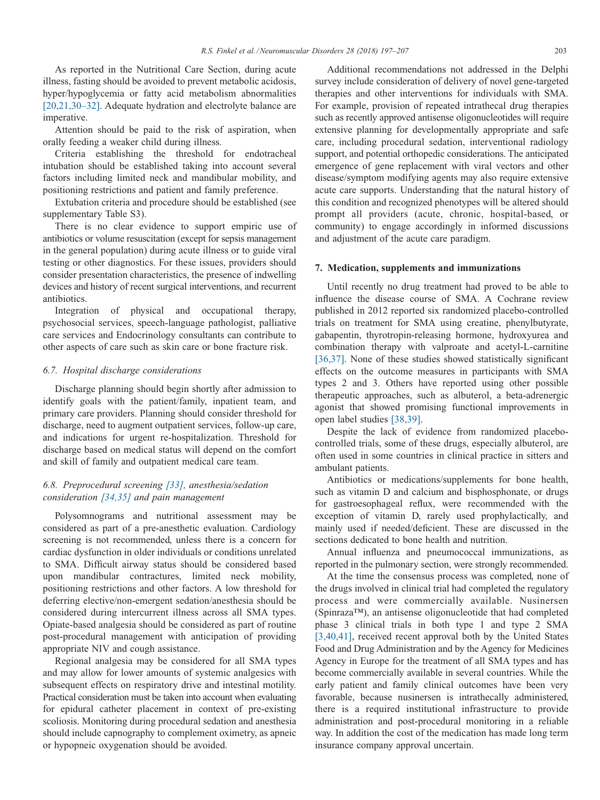As reported in the Nutritional Care Section, during acute illness, fasting should be avoided to prevent metabolic acidosis, hyper/hypoglycemia or fatty acid metabolism abnormalities [\[20,21,30–32\].](#page-9-5) Adequate hydration and electrolyte balance are imperative.

Attention should be paid to the risk of aspiration, when orally feeding a weaker child during illness.

Criteria establishing the threshold for endotracheal intubation should be established taking into account several factors including limited neck and mandibular mobility, and positioning restrictions and patient and family preference.

Extubation criteria and procedure should be established (see supplementary Table S3).

There is no clear evidence to support empiric use of antibiotics or volume resuscitation (except for sepsis management in the general population) during acute illness or to guide viral testing or other diagnostics. For these issues, providers should consider presentation characteristics, the presence of indwelling devices and history of recent surgical interventions, and recurrent antibiotics.

Integration of physical and occupational therapy, psychosocial services, speech-language pathologist, palliative care services and Endocrinology consultants can contribute to other aspects of care such as skin care or bone fracture risk.

#### *6.7. Hospital discharge considerations*

Discharge planning should begin shortly after admission to identify goals with the patient/family, inpatient team, and primary care providers. Planning should consider threshold for discharge, need to augment outpatient services, follow-up care, and indications for urgent re-hospitalization. Threshold for discharge based on medical status will depend on the comfort and skill of family and outpatient medical care team.

# *6.8. Preprocedural screening [\[33\],](#page-9-6) anesthesia/sedation consideration [\[34,35\]](#page-9-7) and pain management*

Polysomnograms and nutritional assessment may be considered as part of a pre-anesthetic evaluation. Cardiology screening is not recommended, unless there is a concern for cardiac dysfunction in older individuals or conditions unrelated to SMA. Difficult airway status should be considered based upon mandibular contractures, limited neck mobility, positioning restrictions and other factors. A low threshold for deferring elective/non-emergent sedation/anesthesia should be considered during intercurrent illness across all SMA types. Opiate-based analgesia should be considered as part of routine post-procedural management with anticipation of providing appropriate NIV and cough assistance.

Regional analgesia may be considered for all SMA types and may allow for lower amounts of systemic analgesics with subsequent effects on respiratory drive and intestinal motility. Practical consideration must be taken into account when evaluating for epidural catheter placement in context of pre-existing scoliosis. Monitoring during procedural sedation and anesthesia should include capnography to complement oximetry, as apneic or hypopneic oxygenation should be avoided.

Additional recommendations not addressed in the Delphi survey include consideration of delivery of novel gene-targeted therapies and other interventions for individuals with SMA. For example, provision of repeated intrathecal drug therapies such as recently approved antisense oligonucleotides will require extensive planning for developmentally appropriate and safe care, including procedural sedation, interventional radiology support, and potential orthopedic considerations. The anticipated emergence of gene replacement with viral vectors and other disease/symptom modifying agents may also require extensive acute care supports. Understanding that the natural history of this condition and recognized phenotypes will be altered should prompt all providers (acute, chronic, hospital-based, or community) to engage accordingly in informed discussions and adjustment of the acute care paradigm.

#### **7. Medication, supplements and immunizations**

Until recently no drug treatment had proved to be able to influence the disease course of SMA. A Cochrane review published in 2012 reported six randomized placebo-controlled trials on treatment for SMA using creatine, phenylbutyrate, gabapentin, thyrotropin-releasing hormone, hydroxyurea and combination therapy with valproate and acetyl-L-carnitine [\[36,37\].](#page-9-8) None of these studies showed statistically significant effects on the outcome measures in participants with SMA types 2 and 3. Others have reported using other possible therapeutic approaches, such as albuterol, a beta-adrenergic agonist that showed promising functional improvements in open label studies [\[38,39\].](#page-9-9)

Despite the lack of evidence from randomized placebocontrolled trials, some of these drugs, especially albuterol, are often used in some countries in clinical practice in sitters and ambulant patients.

Antibiotics or medications/supplements for bone health, such as vitamin D and calcium and bisphosphonate, or drugs for gastroesophageal reflux, were recommended with the exception of vitamin D, rarely used prophylactically, and mainly used if needed/deficient. These are discussed in the sections dedicated to bone health and nutrition.

Annual influenza and pneumococcal immunizations, as reported in the pulmonary section, were strongly recommended.

At the time the consensus process was completed, none of the drugs involved in clinical trial had completed the regulatory process and were commercially available. Nusinersen (Spinraza™), an antisense oligonucleotide that had completed phase 3 clinical trials in both type 1 and type 2 SMA [\[3,40,41\],](#page-8-7) received recent approval both by the United States Food and Drug Administration and by the Agency for Medicines Agency in Europe for the treatment of all SMA types and has become commercially available in several countries. While the early patient and family clinical outcomes have been very favorable, because nusinersen is intrathecally administered, there is a required institutional infrastructure to provide administration and post-procedural monitoring in a reliable way. In addition the cost of the medication has made long term insurance company approval uncertain.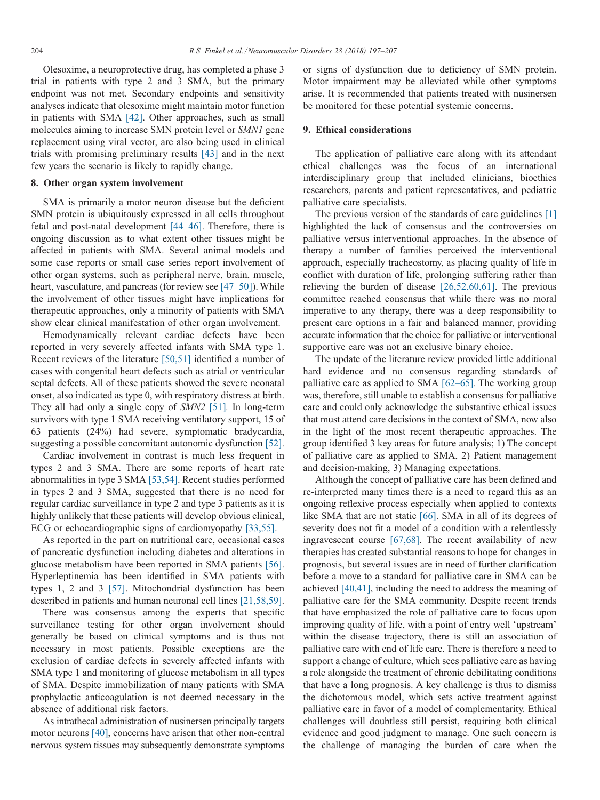Olesoxime, a neuroprotective drug, has completed a phase 3 trial in patients with type 2 and 3 SMA, but the primary endpoint was not met. Secondary endpoints and sensitivity analyses indicate that olesoxime might maintain motor function in patients with SMA [\[42\].](#page-9-10) Other approaches, such as small molecules aiming to increase SMN protein level or *SMN1* gene replacement using viral vector, are also being used in clinical trials with promising preliminary results [\[43\]](#page-9-11) and in the next few years the scenario is likely to rapidly change.

## **8. Other organ system involvement**

SMA is primarily a motor neuron disease but the deficient SMN protein is ubiquitously expressed in all cells throughout fetal and post-natal development [\[44–46\].](#page-9-12) Therefore, there is ongoing discussion as to what extent other tissues might be affected in patients with SMA. Several animal models and some case reports or small case series report involvement of other organ systems, such as peripheral nerve, brain, muscle, heart, vasculature, and pancreas (for review see [\[47–50\]\)](#page-9-13). While the involvement of other tissues might have implications for therapeutic approaches, only a minority of patients with SMA show clear clinical manifestation of other organ involvement.

Hemodynamically relevant cardiac defects have been reported in very severely affected infants with SMA type 1. Recent reviews of the literature [\[50,51\]](#page-9-14) identified a number of cases with congenital heart defects such as atrial or ventricular septal defects. All of these patients showed the severe neonatal onset, also indicated as type 0, with respiratory distress at birth. They all had only a single copy of *SMN2* [\[51\]](#page-9-15)*.* In long-term survivors with type 1 SMA receiving ventilatory support, 15 of 63 patients (24%) had severe, symptomatic bradycardia, suggesting a possible concomitant autonomic dysfunction [\[52\].](#page-10-0)

Cardiac involvement in contrast is much less frequent in types 2 and 3 SMA. There are some reports of heart rate abnormalities in type 3 SMA [\[53,54\].](#page-10-1) Recent studies performed in types 2 and 3 SMA, suggested that there is no need for regular cardiac surveillance in type 2 and type 3 patients as it is highly unlikely that these patients will develop obvious clinical, ECG or echocardiographic signs of cardiomyopathy [\[33,55\].](#page-9-6)

As reported in the part on nutritional care, occasional cases of pancreatic dysfunction including diabetes and alterations in glucose metabolism have been reported in SMA patients [\[56\].](#page-10-2) Hyperleptinemia has been identified in SMA patients with types 1, 2 and 3 [\[57\].](#page-10-3) Mitochondrial dysfunction has been described in patients and human neuronal cell lines [\[21,58,59\].](#page-9-16)

There was consensus among the experts that specific surveillance testing for other organ involvement should generally be based on clinical symptoms and is thus not necessary in most patients. Possible exceptions are the exclusion of cardiac defects in severely affected infants with SMA type 1 and monitoring of glucose metabolism in all types of SMA. Despite immobilization of many patients with SMA prophylactic anticoagulation is not deemed necessary in the absence of additional risk factors.

As intrathecal administration of nusinersen principally targets motor neurons [\[40\],](#page-9-17) concerns have arisen that other non-central nervous system tissues may subsequently demonstrate symptoms or signs of dysfunction due to deficiency of SMN protein. Motor impairment may be alleviated while other symptoms arise. It is recommended that patients treated with nusinersen be monitored for these potential systemic concerns.

## **9. Ethical considerations**

The application of palliative care along with its attendant ethical challenges was the focus of an international interdisciplinary group that included clinicians, bioethics researchers, parents and patient representatives, and pediatric palliative care specialists.

The previous version of the standards of care guidelines [\[1\]](#page-8-0) highlighted the lack of consensus and the controversies on palliative versus interventional approaches. In the absence of therapy a number of families perceived the interventional approach, especially tracheostomy, as placing quality of life in conflict with duration of life, prolonging suffering rather than relieving the burden of disease [\[26,52,60,61\].](#page-9-3) The previous committee reached consensus that while there was no moral imperative to any therapy, there was a deep responsibility to present care options in a fair and balanced manner, providing accurate information that the choice for palliative or interventional supportive care was not an exclusive binary choice.

The update of the literature review provided little additional hard evidence and no consensus regarding standards of palliative care as applied to SMA [\[62–65\].](#page-10-4) The working group was, therefore, still unable to establish a consensus for palliative care and could only acknowledge the substantive ethical issues that must attend care decisions in the context of SMA, now also in the light of the most recent therapeutic approaches. The group identified 3 key areas for future analysis; 1) The concept of palliative care as applied to SMA, 2) Patient management and decision-making, 3) Managing expectations.

Although the concept of palliative care has been defined and re-interpreted many times there is a need to regard this as an ongoing reflexive process especially when applied to contexts like SMA that are not static [\[66\].](#page-10-5) SMA in all of its degrees of severity does not fit a model of a condition with a relentlessly ingravescent course [\[67,68\].](#page-10-6) The recent availability of new therapies has created substantial reasons to hope for changes in prognosis, but several issues are in need of further clarification before a move to a standard for palliative care in SMA can be achieved [\[40,41\],](#page-9-17) including the need to address the meaning of palliative care for the SMA community. Despite recent trends that have emphasized the role of palliative care to focus upon improving quality of life, with a point of entry well 'upstream' within the disease trajectory, there is still an association of palliative care with end of life care. There is therefore a need to support a change of culture, which sees palliative care as having a role alongside the treatment of chronic debilitating conditions that have a long prognosis. A key challenge is thus to dismiss the dichotomous model, which sets active treatment against palliative care in favor of a model of complementarity. Ethical challenges will doubtless still persist, requiring both clinical evidence and good judgment to manage. One such concern is the challenge of managing the burden of care when the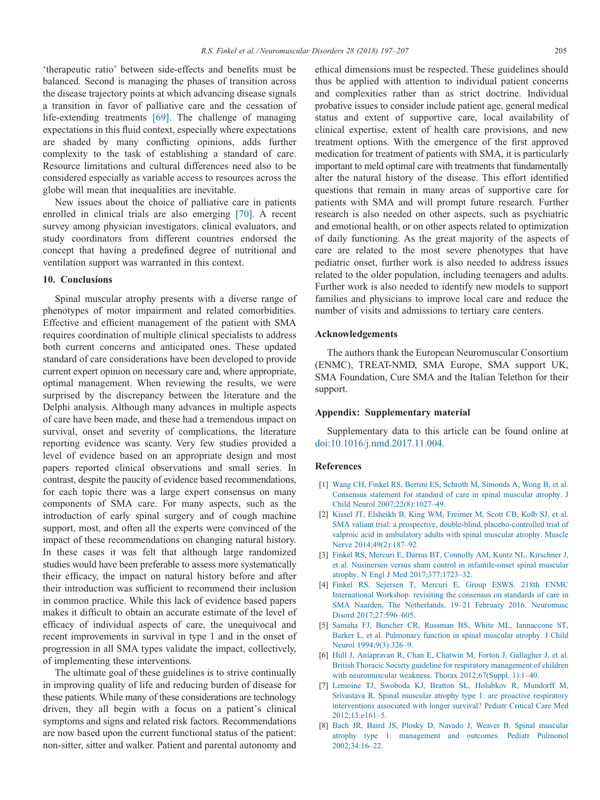'therapeutic ratio' between side-effects and benefits must be balanced. Second is managing the phases of transition across the disease trajectory points at which advancing disease signals a transition in favor of palliative care and the cessation of life-extending treatments [\[69\].](#page-10-7) The challenge of managing expectations in this fluid context, especially where expectations are shaded by many conflicting opinions, adds further complexity to the task of establishing a standard of care. Resource limitations and cultural differences need also to be considered especially as variable access to resources across the globe will mean that inequalities are inevitable.

New issues about the choice of palliative care in patients enrolled in clinical trials are also emerging [\[70\].](#page-10-8) A recent survey among physician investigators, clinical evaluators, and study coordinators from different countries endorsed the concept that having a predefined degree of nutritional and ventilation support was warranted in this context.

#### **10. Conclusions**

Spinal muscular atrophy presents with a diverse range of phenotypes of motor impairment and related comorbidities. Effective and efficient management of the patient with SMA requires coordination of multiple clinical specialists to address both current concerns and anticipated ones. These updated standard of care considerations have been developed to provide current expert opinion on necessary care and, where appropriate, optimal management. When reviewing the results, we were surprised by the discrepancy between the literature and the Delphi analysis. Although many advances in multiple aspects of care have been made, and these had a tremendous impact on survival, onset and severity of complications, the literature reporting evidence was scanty. Very few studies provided a level of evidence based on an appropriate design and most papers reported clinical observations and small series. In contrast, despite the paucity of evidence based recommendations, for each topic there was a large expert consensus on many components of SMA care. For many aspects, such as the introduction of early spinal surgery and of cough machine support, most, and often all the experts were convinced of the impact of these recommendations on changing natural history. In these cases it was felt that although large randomized studies would have been preferable to assess more systematically their efficacy, the impact on natural history before and after their introduction was sufficient to recommend their inclusion in common practice. While this lack of evidence based papers makes it difficult to obtain an accurate estimate of the level of efficacy of individual aspects of care, the unequivocal and recent improvements in survival in type 1 and in the onset of progression in all SMA types validate the impact, collectively, of implementing these interventions.

The ultimate goal of these guidelines is to strive continually in improving quality of life and reducing burden of disease for these patients. While many of these considerations are technology driven, they all begin with a focus on a patient's clinical symptoms and signs and related risk factors. Recommendations are now based upon the current functional status of the patient: non-sitter, sitter and walker. Patient and parental autonomy and

ethical dimensions must be respected. These guidelines should thus be applied with attention to individual patient concerns and complexities rather than as strict doctrine. Individual probative issues to consider include patient age, general medical status and extent of supportive care, local availability of clinical expertise, extent of health care provisions, and new treatment options. With the emergence of the first approved medication for treatment of patients with SMA, it is particularly important to meld optimal care with treatments that fundamentally alter the natural history of the disease. This effort identified questions that remain in many areas of supportive care for patients with SMA and will prompt future research. Further research is also needed on other aspects, such as psychiatric and emotional health, or on other aspects related to optimization of daily functioning. As the great majority of the aspects of care are related to the most severe phenotypes that have pediatric onset, further work is also needed to address issues related to the older population, including teenagers and adults. Further work is also needed to identify new models to support families and physicians to improve local care and reduce the number of visits and admissions to tertiary care centers.

## **Acknowledgements**

The authors thank the European Neuromuscular Consortium (ENMC), TREAT-NMD, SMA Europe, SMA support UK, SMA Foundation, Cure SMA and the Italian Telethon for their support.

### **Appendix: Supplementary material**

Supplementary data to this article can be found online at [doi:10.1016/j.nmd.2017.11.004.](https://doi.org/10.1016/j.nmd.2017.11.004)

#### **References**

- <span id="page-8-0"></span>[1] [Wang CH, Finkel RS, Bertini ES, Schroth M, Simonds A, Wong B, et al.](http://refhub.elsevier.com/S0960-8966(17)31290-7/sr0010) [Consensus statement for standard of care in spinal muscular atrophy. J](http://refhub.elsevier.com/S0960-8966(17)31290-7/sr0010) [Child Neurol 2007;22\(8\):1027–49.](http://refhub.elsevier.com/S0960-8966(17)31290-7/sr0010)
- <span id="page-8-1"></span>[2] [Kissel JT, Elsheikh B, King WM, Freimer M, Scott CB, Kolb SJ, et al.](http://refhub.elsevier.com/S0960-8966(17)31290-7/sr0015) [SMA valiant trial: a prospective, double-blind, placebo-controlled trial of](http://refhub.elsevier.com/S0960-8966(17)31290-7/sr0015) [valproic acid in ambulatory adults with spinal muscular atrophy. Muscle](http://refhub.elsevier.com/S0960-8966(17)31290-7/sr0015) [Nerve 2014;49\(2\):187–92.](http://refhub.elsevier.com/S0960-8966(17)31290-7/sr0015)
- <span id="page-8-7"></span>[3] [Finkel RS, Mercuri E, Darras BT, Connolly AM, Kuntz NL, Kirschner J,](http://refhub.elsevier.com/S0960-8966(17)31290-7/sr0020) [et al. Nusinersen versus sham control in infantile-onset spinal muscular](http://refhub.elsevier.com/S0960-8966(17)31290-7/sr0020) [atrophy. N Engl J Med 2017;377:1723–32.](http://refhub.elsevier.com/S0960-8966(17)31290-7/sr0020)
- <span id="page-8-2"></span>[4] [Finkel RS, Sejersen T, Mercuri E, Group ESWS. 218th ENMC](http://refhub.elsevier.com/S0960-8966(17)31290-7/sr0025) [International Workshop: revisiting the consensus on standards of care in](http://refhub.elsevier.com/S0960-8966(17)31290-7/sr0025) [SMA Naarden, The Netherlands, 19–21 February 2016. Neuromusc](http://refhub.elsevier.com/S0960-8966(17)31290-7/sr0025) [Disord 2017;27:596–605.](http://refhub.elsevier.com/S0960-8966(17)31290-7/sr0025)
- <span id="page-8-3"></span>[5] [Samaha FJ, Buncher CR, Russman BS, White ML, Iannaccone ST,](http://refhub.elsevier.com/S0960-8966(17)31290-7/sr0030) [Barker L, et al. Pulmonary function in spinal muscular atrophy. J Child](http://refhub.elsevier.com/S0960-8966(17)31290-7/sr0030) [Neurol 1994;9\(3\):326–9.](http://refhub.elsevier.com/S0960-8966(17)31290-7/sr0030)
- <span id="page-8-4"></span>[6] [Hull J, Aniapravan R, Chan E, Chatwin M, Forton J, Gallagher J, et al.](http://refhub.elsevier.com/S0960-8966(17)31290-7/sr0035) [British Thoracic Society guideline for respiratory management of children](http://refhub.elsevier.com/S0960-8966(17)31290-7/sr0035) [with neuromuscular weakness. Thorax 2012;67\(Suppl. 1\):1–40.](http://refhub.elsevier.com/S0960-8966(17)31290-7/sr0035)
- <span id="page-8-5"></span>[7] [Lemoine TJ, Swoboda KJ, Bratton SL, Holubkov R, Mundorff M,](http://refhub.elsevier.com/S0960-8966(17)31290-7/sr0040) [Srivastava R. Spinal muscular atrophy type 1: are proactive respiratory](http://refhub.elsevier.com/S0960-8966(17)31290-7/sr0040) [interventions associated with longer survival? Pediatr Critical Care Med](http://refhub.elsevier.com/S0960-8966(17)31290-7/sr0040) [2012;13:e161–5.](http://refhub.elsevier.com/S0960-8966(17)31290-7/sr0040)
- <span id="page-8-6"></span>[8] [Bach JR, Baird JS, Plosky D, Navado J, Weaver B. Spinal muscular](http://refhub.elsevier.com/S0960-8966(17)31290-7/sr0045) [atrophy type 1: management and outcomes. Pediatr Pulmonol](http://refhub.elsevier.com/S0960-8966(17)31290-7/sr0045) [2002;34:16–22.](http://refhub.elsevier.com/S0960-8966(17)31290-7/sr0045)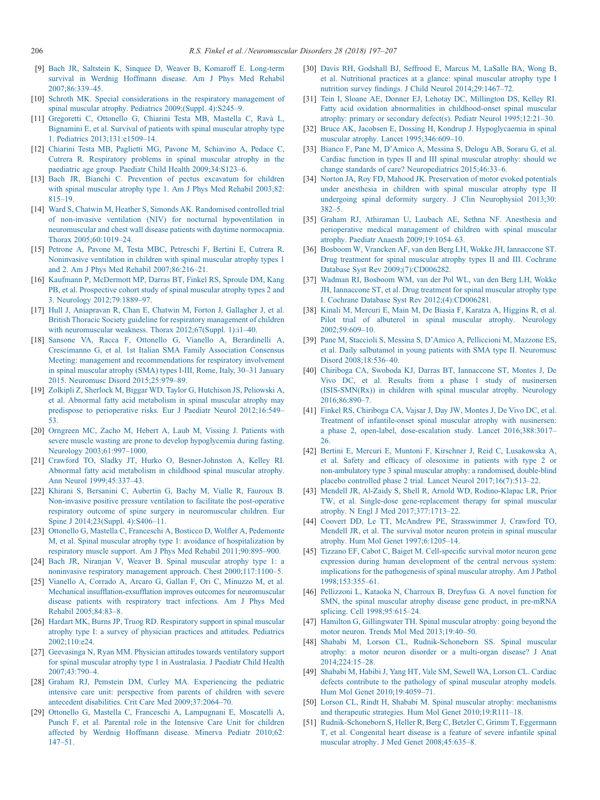- [9] [Bach JR, Saltstein K, Sinquee D, Weaver B, Komaroff E. Long-term](http://refhub.elsevier.com/S0960-8966(17)31290-7/sr0050) [survival in Werdnig Hoffmann disease. Am J Phys Med Rehabil](http://refhub.elsevier.com/S0960-8966(17)31290-7/sr0050) [2007;86:339–45.](http://refhub.elsevier.com/S0960-8966(17)31290-7/sr0050)
- <span id="page-9-0"></span>[10] [Schroth MK. Special considerations in the respiratory management of](http://refhub.elsevier.com/S0960-8966(17)31290-7/sr0055) [spinal muscular atrophy. Pediatrics 2009;\(Suppl. 4\):S245–9.](http://refhub.elsevier.com/S0960-8966(17)31290-7/sr0055)
- [11] [Gregoretti C, Ottonello G, Chiarini Testa MB, Mastella C, Ravà L,](http://refhub.elsevier.com/S0960-8966(17)31290-7/sr0060) [Bignamini E, et al. Survival of patients with spinal muscular atrophy type](http://refhub.elsevier.com/S0960-8966(17)31290-7/sr0060) [1. Pediatrics 2013;131:e1509–14.](http://refhub.elsevier.com/S0960-8966(17)31290-7/sr0060)
- [12] [Chiarini Testa MB, Paglietti MG, Pavone M, Schiavino A, Pedace C,](http://refhub.elsevier.com/S0960-8966(17)31290-7/sr0065) [Cutrera R. Respiratory problems in spinal muscular atrophy in the](http://refhub.elsevier.com/S0960-8966(17)31290-7/sr0065) [paediatric age group. Paediatr Child Health 2009;34:S123–6.](http://refhub.elsevier.com/S0960-8966(17)31290-7/sr0065)
- [13] [Bach JR, Bianchi C. Prevention of pectus excavatum for children](http://refhub.elsevier.com/S0960-8966(17)31290-7/sr0070) [with spinal muscular atrophy type 1. Am J Phys Med Rehabil 2003;82:](http://refhub.elsevier.com/S0960-8966(17)31290-7/sr0070) [815–19.](http://refhub.elsevier.com/S0960-8966(17)31290-7/sr0070)
- [14] [Ward S, Chatwin M, Heather S, Simonds AK. Randomised controlled trial](http://refhub.elsevier.com/S0960-8966(17)31290-7/sr0075) [of non-invasive ventilation \(NIV\) for nocturnal hypoventilation in](http://refhub.elsevier.com/S0960-8966(17)31290-7/sr0075) [neuromuscular and chest wall disease patients with daytime normocapnia.](http://refhub.elsevier.com/S0960-8966(17)31290-7/sr0075) [Thorax 2005;60:1019–24.](http://refhub.elsevier.com/S0960-8966(17)31290-7/sr0075)
- [15] [Petrone A, Pavone M, Testa MBC, Petreschi F, Bertini E, Cutrera R.](http://refhub.elsevier.com/S0960-8966(17)31290-7/sr0080) [Noninvasive ventilation in children with spinal muscular atrophy types 1](http://refhub.elsevier.com/S0960-8966(17)31290-7/sr0080) [and 2. Am J Phys Med Rehabil 2007;86:216–21.](http://refhub.elsevier.com/S0960-8966(17)31290-7/sr0080)
- [16] [Kaufmann P, McDermott MP, Darras BT, Finkel RS, Sproule DM, Kang](http://refhub.elsevier.com/S0960-8966(17)31290-7/sr0085) [PB, et al. Prospective cohort study of spinal muscular atrophy types 2 and](http://refhub.elsevier.com/S0960-8966(17)31290-7/sr0085) [3. Neurology 2012;79:1889–97.](http://refhub.elsevier.com/S0960-8966(17)31290-7/sr0085)
- [17] [Hull J, Aniapravan R, Chan E, Chatwin M, Forton J, Gallagher J, et al.](http://refhub.elsevier.com/S0960-8966(17)31290-7/sr0090) [British Thoracic Society guideline for respiratory management of children](http://refhub.elsevier.com/S0960-8966(17)31290-7/sr0090) [with neuromuscular weakness. Thorax 2012;67\(Suppl. 1\):i1–40.](http://refhub.elsevier.com/S0960-8966(17)31290-7/sr0090)
- [18] [Sansone VA, Racca F, Ottonello G, Vianello A, Berardinelli A,](http://refhub.elsevier.com/S0960-8966(17)31290-7/sr0095) [Crescimanno G, et al. 1st Italian SMA Family Association Consensus](http://refhub.elsevier.com/S0960-8966(17)31290-7/sr0095) [Meeting: management and recommendations for respiratory involvement](http://refhub.elsevier.com/S0960-8966(17)31290-7/sr0095) [in spinal muscular atrophy \(SMA\) types I-III, Rome, Italy, 30–31 January](http://refhub.elsevier.com/S0960-8966(17)31290-7/sr0095) [2015. Neuromusc Disord 2015;25:979–89.](http://refhub.elsevier.com/S0960-8966(17)31290-7/sr0095)
- <span id="page-9-1"></span>[19] [Zolkipli Z, Sherlock M, Biggar WD, Taylor G, Hutchison JS, Peliowski A,](http://refhub.elsevier.com/S0960-8966(17)31290-7/sr0100) [et al. Abnormal fatty acid metabolism in spinal muscular atrophy may](http://refhub.elsevier.com/S0960-8966(17)31290-7/sr0100) [predispose to perioperative risks. Eur J Paediatr Neurol 2012;16:549–](http://refhub.elsevier.com/S0960-8966(17)31290-7/sr0100) [53.](http://refhub.elsevier.com/S0960-8966(17)31290-7/sr0100)
- <span id="page-9-5"></span>[20] [Orngreen MC, Zacho M, Hebert A, Laub M, Vissing J. Patients with](http://refhub.elsevier.com/S0960-8966(17)31290-7/sr0105) [severe muscle wasting are prone to develop hypoglycemia during fasting.](http://refhub.elsevier.com/S0960-8966(17)31290-7/sr0105) [Neurology 2003;61:997–1000.](http://refhub.elsevier.com/S0960-8966(17)31290-7/sr0105)
- <span id="page-9-16"></span>[21] [Crawford TO, Sladky JT, Hurko O, Besner-Johnston A, Kelley RI.](http://refhub.elsevier.com/S0960-8966(17)31290-7/sr0110) [Abnormal fatty acid metabolism in childhood spinal muscular atrophy.](http://refhub.elsevier.com/S0960-8966(17)31290-7/sr0110) [Ann Neurol 1999;45:337–43.](http://refhub.elsevier.com/S0960-8966(17)31290-7/sr0110)
- <span id="page-9-2"></span>[22] [Khirani S, Bersanini C, Aubertin G, Bachy M, Vialle R, Fauroux B.](http://refhub.elsevier.com/S0960-8966(17)31290-7/sr0115) [Non-invasive positive pressure ventilation to facilitate the post-operative](http://refhub.elsevier.com/S0960-8966(17)31290-7/sr0115) [respiratory outcome of spine surgery in neuromuscular children. Eur](http://refhub.elsevier.com/S0960-8966(17)31290-7/sr0115) [Spine J 2014;23\(Suppl. 4\):S406–11.](http://refhub.elsevier.com/S0960-8966(17)31290-7/sr0115)
- [23] [Ottonello G, Mastella C, Franceschi A, Bosticco D, Wolfler A, Pedemonte](http://refhub.elsevier.com/S0960-8966(17)31290-7/sr0120) [M, et al. Spinal muscular atrophy type 1: avoidance of hospitalization by](http://refhub.elsevier.com/S0960-8966(17)31290-7/sr0120) [respiratory muscle support. Am J Phys Med Rehabil 2011;90:895–900.](http://refhub.elsevier.com/S0960-8966(17)31290-7/sr0120)
- [24] [Bach JR, Niranjan V, Weaver B. Spinal muscular atrophy type 1: a](http://refhub.elsevier.com/S0960-8966(17)31290-7/sr0125) [noninvasive respiratory management approach. Chest 2000;117:1100–5.](http://refhub.elsevier.com/S0960-8966(17)31290-7/sr0125)
- [25] [Vianello A, Corrado A, Arcaro G, Gallan F, Ori C, Minuzzo M, et al.](http://refhub.elsevier.com/S0960-8966(17)31290-7/sr0130) [Mechanical insufflation-exsufflation improves outcomes for neuromuscular](http://refhub.elsevier.com/S0960-8966(17)31290-7/sr0130) [disease patients with respiratory tract infections. Am J Phys Med](http://refhub.elsevier.com/S0960-8966(17)31290-7/sr0130) [Rehabil 2005;84:83–8.](http://refhub.elsevier.com/S0960-8966(17)31290-7/sr0130)
- <span id="page-9-3"></span>[26] [Hardart MK, Burns JP, Truog RD. Respiratory support in spinal muscular](http://refhub.elsevier.com/S0960-8966(17)31290-7/sr0135) [atrophy type I: a survey of physician practices and attitudes. Pediatrics](http://refhub.elsevier.com/S0960-8966(17)31290-7/sr0135) [2002;110:e24.](http://refhub.elsevier.com/S0960-8966(17)31290-7/sr0135)
- [27] [Geevasinga N, Ryan MM. Physician attitudes towards ventilatory support](http://refhub.elsevier.com/S0960-8966(17)31290-7/sr0140) [for spinal muscular atrophy type 1 in Australasia. J Paediatr Child Health](http://refhub.elsevier.com/S0960-8966(17)31290-7/sr0140) [2007;43:790–4.](http://refhub.elsevier.com/S0960-8966(17)31290-7/sr0140)
- <span id="page-9-4"></span>[28] [Graham RJ, Pemstein DM, Curley MA. Experiencing the pediatric](http://refhub.elsevier.com/S0960-8966(17)31290-7/sr0145) [intensive care unit: perspective from parents of children with severe](http://refhub.elsevier.com/S0960-8966(17)31290-7/sr0145) [antecedent disabilities. Crit Care Med 2009;37:2064–70.](http://refhub.elsevier.com/S0960-8966(17)31290-7/sr0145)
- [29] [Ottonello G, Mastella C, Franceschi A, Lampugnani E, Moscatelli A,](http://refhub.elsevier.com/S0960-8966(17)31290-7/sr0150) [Punch F, et al. Parental role in the Intensive Care Unit for children](http://refhub.elsevier.com/S0960-8966(17)31290-7/sr0150) [affected by Werdnig Hoffmann disease. Minerva Pediatr 2010;62:](http://refhub.elsevier.com/S0960-8966(17)31290-7/sr0150) [147–51.](http://refhub.elsevier.com/S0960-8966(17)31290-7/sr0150)
- [30] [Davis RH, Godshall BJ, Seffrood E, Marcus M, LaSalle BA, Wong B,](http://refhub.elsevier.com/S0960-8966(17)31290-7/sr0155) [et al. Nutritional practices at a glance: spinal muscular atrophy type I](http://refhub.elsevier.com/S0960-8966(17)31290-7/sr0155) [nutrition survey findings. J Child Neurol 2014;29:1467–72.](http://refhub.elsevier.com/S0960-8966(17)31290-7/sr0155)
- [31] [Tein I, Sloane AE, Donner EJ, Lehotay DC, Millington DS, Kelley RI.](http://refhub.elsevier.com/S0960-8966(17)31290-7/sr0160) [Fatty acid oxidation abnormalities in childhood-onset spinal muscular](http://refhub.elsevier.com/S0960-8966(17)31290-7/sr0160) [atrophy: primary or secondary defect\(s\). Pediatr Neurol 1995;12:21–30.](http://refhub.elsevier.com/S0960-8966(17)31290-7/sr0160)
- [32] [Bruce AK, Jacobsen E, Dossing H, Kondrup J. Hypoglycaemia in spinal](http://refhub.elsevier.com/S0960-8966(17)31290-7/sr0165) [muscular atrophy. Lancet 1995;346:609–10.](http://refhub.elsevier.com/S0960-8966(17)31290-7/sr0165)
- <span id="page-9-6"></span>[33] [Bianco F, Pane M, D'Amico A, Messina S, Delogu AB, Soraru G, et al.](http://refhub.elsevier.com/S0960-8966(17)31290-7/sr0170) [Cardiac function in types II and III spinal muscular atrophy: should we](http://refhub.elsevier.com/S0960-8966(17)31290-7/sr0170) [change standards of care? Neuropediatrics 2015;46:33–6.](http://refhub.elsevier.com/S0960-8966(17)31290-7/sr0170)
- <span id="page-9-7"></span>[34] [Norton JA, Roy FD, Mahood JK. Preservation of motor evoked potentials](http://refhub.elsevier.com/S0960-8966(17)31290-7/sr0175) [under anesthesia in children with spinal muscular atrophy type II](http://refhub.elsevier.com/S0960-8966(17)31290-7/sr0175) [undergoing spinal deformity surgery. J Clin Neurophysiol 2013;30:](http://refhub.elsevier.com/S0960-8966(17)31290-7/sr0175) [382–5.](http://refhub.elsevier.com/S0960-8966(17)31290-7/sr0175)
- [35] [Graham RJ, Athiraman U, Laubach AE, Sethna NF. Anesthesia and](http://refhub.elsevier.com/S0960-8966(17)31290-7/sr0180) [perioperative medical management of children with spinal muscular](http://refhub.elsevier.com/S0960-8966(17)31290-7/sr0180) [atrophy. Paediatr Anaesth 2009;19:1054–63.](http://refhub.elsevier.com/S0960-8966(17)31290-7/sr0180)
- <span id="page-9-8"></span>[36] [Bosboom W, Vrancken AF, van den Berg LH, Wokke JH, Iannaccone ST.](http://refhub.elsevier.com/S0960-8966(17)31290-7/sr0185) [Drug treatment for spinal muscular atrophy types II and III. Cochrane](http://refhub.elsevier.com/S0960-8966(17)31290-7/sr0185) [Database Syst Rev 2009;\(7\):CD006282.](http://refhub.elsevier.com/S0960-8966(17)31290-7/sr0185)
- [37] [Wadman RI, Bosboom WM, van der Pol WL, van den Berg LH, Wokke](http://refhub.elsevier.com/S0960-8966(17)31290-7/sr0190) [JH, Iannaccone ST, et al. Drug treatment for spinal muscular atrophy type](http://refhub.elsevier.com/S0960-8966(17)31290-7/sr0190) [I. Cochrane Database Syst Rev 2012;\(4\):CD006281.](http://refhub.elsevier.com/S0960-8966(17)31290-7/sr0190)
- <span id="page-9-9"></span>[38] [Kinali M, Mercuri E, Main M, De Biasia F, Karatza A, Higgins R, et al.](http://refhub.elsevier.com/S0960-8966(17)31290-7/sr0195) [Pilot trial of albuterol in spinal muscular atrophy. Neurology](http://refhub.elsevier.com/S0960-8966(17)31290-7/sr0195) [2002;59:609–10.](http://refhub.elsevier.com/S0960-8966(17)31290-7/sr0195)
- [39] [Pane M, Staccioli S, Messina S, D'Amico A, Pelliccioni M, Mazzone ES,](http://refhub.elsevier.com/S0960-8966(17)31290-7/sr0200) [et al. Daily salbutamol in young patients with SMA type II. Neuromusc](http://refhub.elsevier.com/S0960-8966(17)31290-7/sr0200) [Disord 2008;18:536–40.](http://refhub.elsevier.com/S0960-8966(17)31290-7/sr0200)
- <span id="page-9-17"></span>[40] [Chiriboga CA, Swoboda KJ, Darras BT, Iannaccone ST, Montes J, De](http://refhub.elsevier.com/S0960-8966(17)31290-7/sr0205) [Vivo DC, et al. Results from a phase 1 study of nusinersen](http://refhub.elsevier.com/S0960-8966(17)31290-7/sr0205) [\(ISIS-SMN\(Rx\)\) in children with spinal muscular atrophy. Neurology](http://refhub.elsevier.com/S0960-8966(17)31290-7/sr0205) [2016;86:890–7.](http://refhub.elsevier.com/S0960-8966(17)31290-7/sr0205)
- [41] [Finkel RS, Chiriboga CA, Vajsar J, Day JW, Montes J, De Vivo DC, et al.](http://refhub.elsevier.com/S0960-8966(17)31290-7/sr0210) [Treatment of infantile-onset spinal muscular atrophy with nusinersen:](http://refhub.elsevier.com/S0960-8966(17)31290-7/sr0210) [a phase 2, open-label, dose-escalation study. Lancet 2016;388:3017–](http://refhub.elsevier.com/S0960-8966(17)31290-7/sr0210) [26.](http://refhub.elsevier.com/S0960-8966(17)31290-7/sr0210)
- <span id="page-9-10"></span>[42] [Bertini E, Mercuri E, Muntoni F, Kirschner J, Reid C, Lusakowska A,](http://refhub.elsevier.com/S0960-8966(17)31290-7/sr0215) [et al. Safety and efficacy of olesoxime in patients with type 2 or](http://refhub.elsevier.com/S0960-8966(17)31290-7/sr0215) [non-ambulatory type 3 spinal muscular atrophy: a randomised, double-blind](http://refhub.elsevier.com/S0960-8966(17)31290-7/sr0215) [placebo controlled phase 2 trial. Lancet Neurol 2017;16\(7\):513–22.](http://refhub.elsevier.com/S0960-8966(17)31290-7/sr0215)
- <span id="page-9-11"></span>[43] [Mendell JR, Al-Zaidy S, Shell R, Arnold WD, Rodino-Klapac LR, Prior](http://refhub.elsevier.com/S0960-8966(17)31290-7/sr0220) [TW, et al. Single-dose gene-replacement therapy for spinal muscular](http://refhub.elsevier.com/S0960-8966(17)31290-7/sr0220) [atrophy. N Engl J Med 2017;377:1713–22.](http://refhub.elsevier.com/S0960-8966(17)31290-7/sr0220)
- <span id="page-9-12"></span>[44] [Coovert DD, Le TT, McAndrew PE, Strasswimmer J, Crawford TO,](http://refhub.elsevier.com/S0960-8966(17)31290-7/sr0225) [Mendell JR, et al. The survival motor neuron protein in spinal muscular](http://refhub.elsevier.com/S0960-8966(17)31290-7/sr0225) [atrophy. Hum Mol Genet 1997;6:1205–14.](http://refhub.elsevier.com/S0960-8966(17)31290-7/sr0225)
- [45] [Tizzano EF, Cabot C, Baiget M. Cell-specific survival motor neuron gene](http://refhub.elsevier.com/S0960-8966(17)31290-7/sr0230) [expression during human development of the central nervous system:](http://refhub.elsevier.com/S0960-8966(17)31290-7/sr0230) [implications for the pathogenesis of spinal muscular atrophy. Am J Pathol](http://refhub.elsevier.com/S0960-8966(17)31290-7/sr0230) [1998;153:355–61.](http://refhub.elsevier.com/S0960-8966(17)31290-7/sr0230)
- [46] [Pellizzoni L, Kataoka N, Charroux B, Dreyfuss G. A novel function for](http://refhub.elsevier.com/S0960-8966(17)31290-7/sr0235) [SMN, the spinal muscular atrophy disease gene product, in pre-mRNA](http://refhub.elsevier.com/S0960-8966(17)31290-7/sr0235) [splicing. Cell 1998;95:615–24.](http://refhub.elsevier.com/S0960-8966(17)31290-7/sr0235)
- <span id="page-9-13"></span>[47] [Hamilton G, Gillingwater TH. Spinal muscular atrophy: going beyond the](http://refhub.elsevier.com/S0960-8966(17)31290-7/sr0240) [motor neuron. Trends Mol Med 2013;19:40–50.](http://refhub.elsevier.com/S0960-8966(17)31290-7/sr0240)
- [48] [Shababi M, Lorson CL, Rudnik-Schoneborn SS. Spinal muscular](http://refhub.elsevier.com/S0960-8966(17)31290-7/sr0245) [atrophy: a motor neuron disorder or a multi-organ disease? J Anat](http://refhub.elsevier.com/S0960-8966(17)31290-7/sr0245)  $2014:224:15-28$
- [49] [Shababi M, Habibi J, Yang HT, Vale SM, Sewell WA, Lorson CL. Cardiac](http://refhub.elsevier.com/S0960-8966(17)31290-7/sr0250) [defects contribute to the pathology of spinal muscular atrophy models.](http://refhub.elsevier.com/S0960-8966(17)31290-7/sr0250) [Hum Mol Genet 2010;19:4059–71.](http://refhub.elsevier.com/S0960-8966(17)31290-7/sr0250)
- <span id="page-9-14"></span>[50] [Lorson CL, Rindt H, Shababi M. Spinal muscular atrophy: mechanisms](http://refhub.elsevier.com/S0960-8966(17)31290-7/sr0255) [and therapeutic strategies. Hum Mol Genet 2010;19:R111–18.](http://refhub.elsevier.com/S0960-8966(17)31290-7/sr0255)
- <span id="page-9-15"></span>[51] [Rudnik-Schoneborn S, Heller R, Berg C, Betzler C, Grimm T, Eggermann](http://refhub.elsevier.com/S0960-8966(17)31290-7/sr0260) [T, et al. Congenital heart disease is a feature of severe infantile spinal](http://refhub.elsevier.com/S0960-8966(17)31290-7/sr0260) [muscular atrophy. J Med Genet 2008;45:635–8.](http://refhub.elsevier.com/S0960-8966(17)31290-7/sr0260)